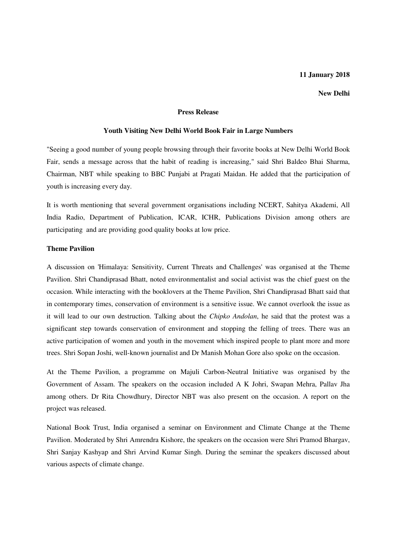# **11 January 2018**

**New Delhi** 

# **Press Release**

#### **Youth Visiting New Delhi World Book Fair in Large Numbers**

"Seeing a good number of young people browsing through their favorite books at New Delhi World Book Fair, sends a message across that the habit of reading is increasing," said Shri Baldeo Bhai Sharma, Chairman, NBT while speaking to BBC Punjabi at Pragati Maidan. He added that the participation of youth is increasing every day.

It is worth mentioning that several government organisations including NCERT, Sahitya Akademi, All India Radio, Department of Publication, ICAR, ICHR, Publications Division among others are participating and are providing good quality books at low price.

### **Theme Pavilion**

A discussion on 'Himalaya: Sensitivity, Current Threats and Challenges' was organised at the Theme Pavilion. Shri Chandiprasad Bhatt, noted environmentalist and social activist was the chief guest on the occasion. While interacting with the booklovers at the Theme Pavilion, Shri Chandiprasad Bhatt said that in contemporary times, conservation of environment is a sensitive issue. We cannot overlook the issue as it will lead to our own destruction. Talking about the *Chipko Andolan*, he said that the protest was a significant step towards conservation of environment and stopping the felling of trees. There was an active participation of women and youth in the movement which inspired people to plant more and more trees. Shri Sopan Joshi, well-known journalist and Dr Manish Mohan Gore also spoke on the occasion.

At the Theme Pavilion, a programme on Majuli Carbon-Neutral Initiative was organised by the Government of Assam. The speakers on the occasion included A K Johri, Swapan Mehra, Pallav Jha among others. Dr Rita Chowdhury, Director NBT was also present on the occasion. A report on the project was released.

National Book Trust, India organised a seminar on Environment and Climate Change at the Theme Pavilion. Moderated by Shri Amrendra Kishore, the speakers on the occasion were Shri Pramod Bhargav, Shri Sanjay Kashyap and Shri Arvind Kumar Singh. During the seminar the speakers discussed about various aspects of climate change.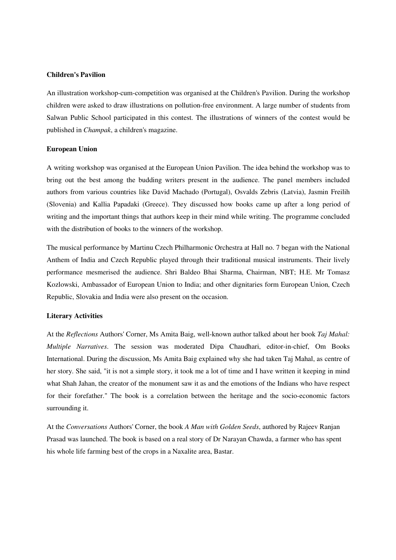### **Children's Pavilion**

An illustration workshop-cum-competition was organised at the Children's Pavilion. During the workshop children were asked to draw illustrations on pollution-free environment. A large number of students from Salwan Public School participated in this contest. The illustrations of winners of the contest would be published in *Champak*, a children's magazine.

### **European Union**

A writing workshop was organised at the European Union Pavilion. The idea behind the workshop was to bring out the best among the budding writers present in the audience. The panel members included authors from various countries like David Machado (Portugal), Osvalds Zebris (Latvia), Jasmin Freilih (Slovenia) and Kallia Papadaki (Greece). They discussed how books came up after a long period of writing and the important things that authors keep in their mind while writing. The programme concluded with the distribution of books to the winners of the workshop.

The musical performance by Martinu Czech Philharmonic Orchestra at Hall no. 7 began with the National Anthem of India and Czech Republic played through their traditional musical instruments. Their lively performance mesmerised the audience. Shri Baldeo Bhai Sharma, Chairman, NBT; H.E. Mr Tomasz Kozlowski, Ambassador of European Union to India; and other dignitaries form European Union, Czech Republic, Slovakia and India were also present on the occasion.

# **Literary Activities**

At the *Reflections* Authors' Corner, Ms Amita Baig, well-known author talked about her book *Taj Mahal: Multiple Narratives*. The session was moderated Dipa Chaudhari, editor-in-chief, Om Books International. During the discussion, Ms Amita Baig explained why she had taken Taj Mahal, as centre of her story. She said, "it is not a simple story, it took me a lot of time and I have written it keeping in mind what Shah Jahan, the creator of the monument saw it as and the emotions of the Indians who have respect for their forefather." The book is a correlation between the heritage and the socio-economic factors surrounding it.

At the *Conversations* Authors' Corner, the book *A Man with Golden Seeds*, authored by Rajeev Ranjan Prasad was launched. The book is based on a real story of Dr Narayan Chawda, a farmer who has spent his whole life farming best of the crops in a Naxalite area, Bastar.